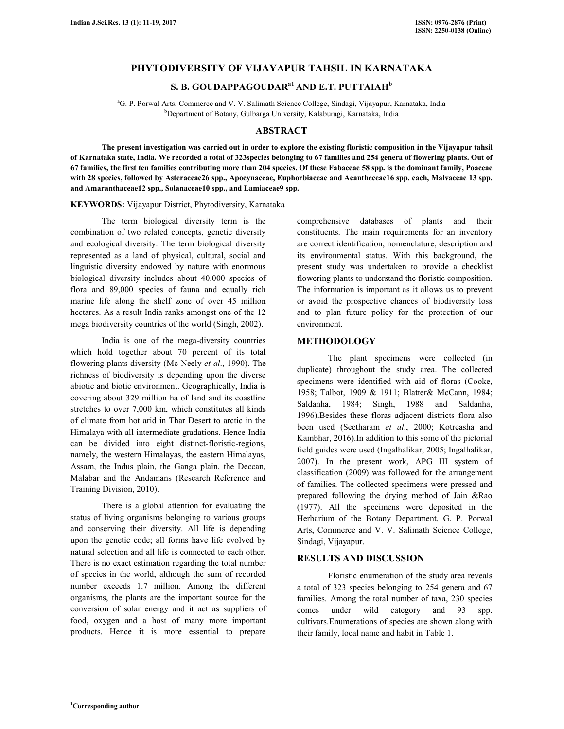# **PHYTODIVERSITY OF VIJAYAPUR TAHSIL IN KARNATAKA**

# **S. B. GOUDAPPAGOUDARa1 AND E.T. PUTTAIAH<sup>b</sup>**

<sup>a</sup>G. P. Porwal Arts, Commerce and V. V. Salimath Science College, Sindagi, Vijayapur, Karnataka, India <sup>b</sup>Department of Botany, Gulbarga University, Kalaburagi, Karnataka, India

# **ABSTRACT**

**The present investigation was carried out in order to explore the existing floristic composition in the Vijayapur tahsil of Karnataka state, India. We recorded a total of 323species belonging to 67 families and 254 genera of flowering plants. Out of 67 families, the first ten families contributing more than 204 species. Of these Fabaceae 58 spp. is the dominant family, Poaceae with 28 species, followed by Asteraceae26 spp., Apocynaceae, Euphorbiaceae and Acantheceae16 spp. each, Malvaceae 13 spp. and Amaranthaceae12 spp., Solanaceae10 spp., and Lamiaceae9 spp.** 

#### **KEYWORDS:** Vijayapur District, Phytodiversity, Karnataka

The term biological diversity term is the combination of two related concepts, genetic diversity and ecological diversity. The term biological diversity represented as a land of physical, cultural, social and linguistic diversity endowed by nature with enormous biological diversity includes about 40,000 species of flora and 89,000 species of fauna and equally rich marine life along the shelf zone of over 45 million hectares. As a result India ranks amongst one of the 12 mega biodiversity countries of the world (Singh, 2002).

 India is one of the mega-diversity countries which hold together about 70 percent of its total flowering plants diversity (Mc Neely *et al*., 1990). The richness of biodiversity is depending upon the diverse abiotic and biotic environment. Geographically, India is covering about 329 million ha of land and its coastline stretches to over 7,000 km, which constitutes all kinds of climate from hot arid in Thar Desert to arctic in the Himalaya with all intermediate gradations. Hence India can be divided into eight distinct-floristic-regions, namely, the western Himalayas, the eastern Himalayas, Assam, the Indus plain, the Ganga plain, the Deccan, Malabar and the Andamans (Research Reference and Training Division, 2010).

There is a global attention for evaluating the status of living organisms belonging to various groups and conserving their diversity. All life is depending upon the genetic code; all forms have life evolved by natural selection and all life is connected to each other. There is no exact estimation regarding the total number of species in the world, although the sum of recorded number exceeds 1.7 million. Among the different organisms, the plants are the important source for the conversion of solar energy and it act as suppliers of food, oxygen and a host of many more important products. Hence it is more essential to prepare

comprehensive databases of plants and their constituents. The main requirements for an inventory are correct identification, nomenclature, description and its environmental status. With this background, the present study was undertaken to provide a checklist flowering plants to understand the floristic composition. The information is important as it allows us to prevent or avoid the prospective chances of biodiversity loss and to plan future policy for the protection of our environment.

### **METHODOLOGY**

The plant specimens were collected (in duplicate) throughout the study area. The collected specimens were identified with aid of floras (Cooke, 1958; Talbot, 1909 & 1911; Blatter& McCann, 1984; Saldanha, 1984; Singh, 1988 and Saldanha, 1996).Besides these floras adjacent districts flora also been used (Seetharam *et al*., 2000; Kotreasha and Kambhar, 2016).In addition to this some of the pictorial field guides were used (Ingalhalikar, 2005; Ingalhalikar, 2007). In the present work, APG III system of classification (2009) was followed for the arrangement of families. The collected specimens were pressed and prepared following the drying method of Jain &Rao (1977). All the specimens were deposited in the Herbarium of the Botany Department, G. P. Porwal Arts, Commerce and V. V. Salimath Science College, Sindagi, Vijayapur.

### **RESULTS AND DISCUSSION**

Floristic enumeration of the study area reveals a total of 323 species belonging to 254 genera and 67 families. Among the total number of taxa, 230 species comes under wild category and 93 spp. cultivars.Enumerations of species are shown along with their family, local name and habit in Table 1.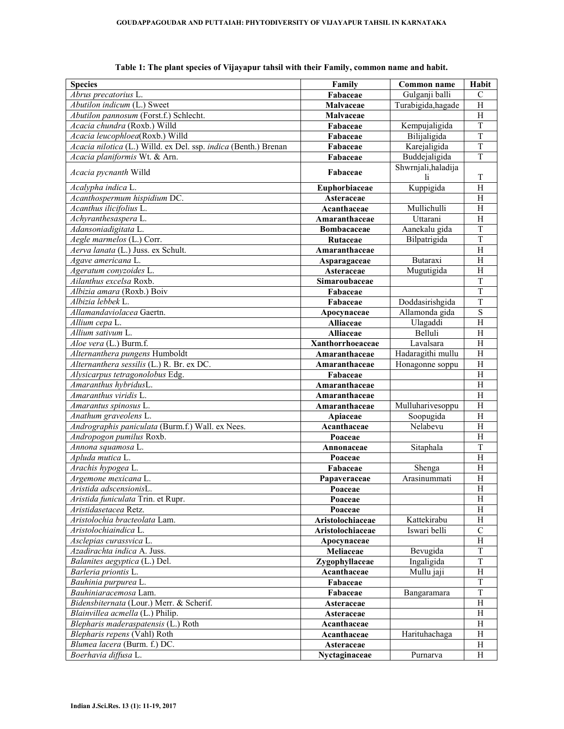| <b>Species</b>                                                  | Family             | Common name               | Habit                     |
|-----------------------------------------------------------------|--------------------|---------------------------|---------------------------|
| Abrus precatorius L.                                            | Fabaceae           | Gulganji balli            | $\mathcal{C}$             |
| Abutilon indicum $(L)$ Sweet                                    | <b>Malvaceae</b>   | Turabigida, hagade        | H                         |
| Abutilon pannosum (Forst.f.) Schlecht.                          | Malvaceae          |                           | H                         |
| Acacia chundra (Roxb.) Willd                                    | Fabaceae           | Kempujaligida             | $\overline{T}$            |
| Acacia leucophloea(Roxb.) Willd                                 | Fabaceae           | Bilijaligida              | $\overline{T}$            |
| Acacia nilotica (L.) Willd. ex Del. ssp. indica (Benth.) Brenan | Fabaceae           | Karejaligida              | T                         |
| Acacia planiformis Wt. & Arn.                                   | Fabaceae           | Buddejaligida             | $\overline{T}$            |
| Acacia pycnanth Willd                                           | Fabaceae           | Shwrnjali, haladija<br>1i | T                         |
| Acalypha indica L.                                              | Euphorbiaceae      | Kuppigida                 | H                         |
| Acanthospermum hispidium DC.                                    | Asteraceae         |                           | H                         |
| Acanthus ilicifolius L.                                         | Acanthaceae        | Mullichulli               | H                         |
| Achyranthesaspera L.                                            | Amaranthaceae      | Uttarani                  | $\overline{H}$            |
| Adansoniadigitata L.                                            | <b>Bombacaceae</b> | Aanekalu gida             | $\overline{T}$            |
| Aegle marmelos (L.) Corr.                                       | Rutaceae           | Bilpatrigida              | $\overline{T}$            |
| Aerva lanata (L.) Juss. ex Schult.                              | Amaranthaceae      |                           | $\boldsymbol{\mathrm{H}}$ |
| Agave americana L.                                              | Asparagaceae       | Butaraxi                  | $\boldsymbol{\mathrm{H}}$ |
| Ageratum conyzoides L.                                          | Asteraceae         | Mugutigida                | H                         |
| Ailanthus excelsa Roxb.                                         | Simaroubaceae      |                           | $\mathbf T$               |
| Albizia amara (Roxb.) Boiv                                      | Fabaceae           |                           | $\overline{T}$            |
| Albizia lebbek L.                                               | Fabaceae           | Doddasirishgida           | $\overline{T}$            |
| Allamandaviolacea Gaertn.                                       | Apocynaceae        | Allamonda gida            | S                         |
| Allium cepa L.                                                  | Alliaceae          | Ulagaddi                  | H                         |
| Allium sativum L.                                               | <b>Alliaceae</b>   | Belluli                   | H                         |
| Aloe vera (L.) Burm.f.                                          | Xanthorrhoeaceae   | Lavalsara                 | H                         |
| Alternanthera pungens Humboldt                                  | Amaranthaceae      | Hadaragithi mullu         | H                         |
| Alternanthera sessilis (L.) R. Br. ex DC.                       | Amaranthaceae      | Honagonne soppu           | H                         |
| Alysicarpus tetragonolobus Edg.                                 | Fabaceae           |                           | $\overline{H}$            |
| Amaranthus hybridusL.                                           | Amaranthaceae      |                           | H                         |
| Amaranthus viridis L.                                           | Amaranthaceae      |                           | H                         |
| Amarantus spinosus L.                                           | Amaranthaceae      | Mulluharivesoppu          | H                         |
| Anathum graveolens L.                                           | Apiaceae           | Soopugida                 | H                         |
| Andrographis paniculata (Burm.f.) Wall. ex Nees.                | Acanthaceae        | Nelabevu                  | H                         |
| Andropogon pumilus Roxb.                                        | Poaceae            |                           | H                         |
| Annona squamosa L.                                              | Annonaceae         | Sitaphala                 | $\mathbf T$               |
| Apluda mutica L.                                                | Poaceae            |                           | H                         |
| Arachis hypogea L.                                              | Fabaceae           | Shenga                    | H                         |
| Argemone mexicana L.                                            | Papaveraceae       | Arasinummati              | H                         |
| Aristida adscensionisL.                                         | Poaceae            |                           | $\overline{H}$            |
| Aristida funiculata Trin. et Rupr.                              | Poaceae            |                           | H                         |
| Aristidasetacea Retz.                                           | Poaceae            |                           | Η                         |
| Aristolochia bracteolata Lam.                                   | Aristolochiaceae   | Kattekirabu               | H                         |
| Aristolochiaindica L.                                           | Aristolochiaceae   | Iswari belli              | $\mathbf C$               |
| Asclepias curassvica L.                                         | Apocvnaceae        |                           | H                         |
| Azadirachta indica A. Juss.                                     | Meliaceae          | Bevugida                  | T                         |
| Balanites aegyptica (L.) Del.                                   | Zygophyllaceae     | Ingaligida                | $\mathbf T$               |
| Barleria priontis L.                                            | Acanthaceae        | Mullu jaji                | $\boldsymbol{\mathrm{H}}$ |
| Bauhinia purpurea L.                                            | Fabaceae           |                           | $\mathbf T$               |
| Bauhiniaracemosa Lam.                                           | Fabaceae           | Bangaramara               | T                         |
| Bidensbiternata (Lour.) Merr. & Scherif.                        | Asteraceae         |                           | H                         |
| Blainvillea acmella (L.) Philip.                                | Asteraceae         |                           | H                         |
| Blepharis maderaspatensis (L.) Roth                             | Acanthaceae        |                           | H                         |
| Blepharis repens (Vahl) Roth                                    | Acanthaceae        | Harituhachaga             | H                         |
| Blumea lacera (Burm. f.) DC.                                    | Asteraceae         |                           | H                         |
| Boerhavia diffusa L.                                            | Nyctaginaceae      | Purnarva                  | H                         |

**Table 1: The plant species of Vijayapur tahsil with their Family, common name and habit.**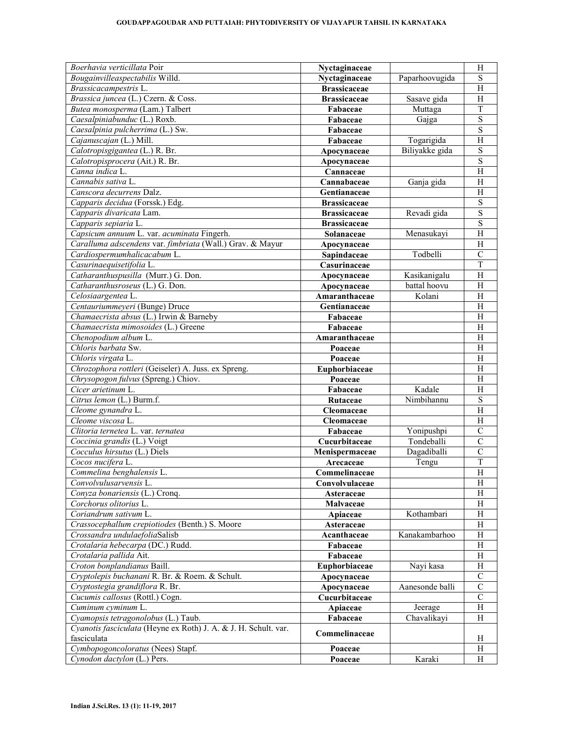| Boerhavia verticillata Poir                                     | Nyctaginaceae       |                              | H                         |
|-----------------------------------------------------------------|---------------------|------------------------------|---------------------------|
| Bougainvilleaspectabilis Willd.                                 | Nyctaginaceae       | Paparhoovugida               | S                         |
| Brassicacampestris L.                                           | <b>Brassicaceae</b> |                              | $\boldsymbol{\mathrm{H}}$ |
| Brassica juncea (L.) Czern. & Coss.                             | <b>Brassicaceae</b> | Sasave gida                  | $\boldsymbol{\mathrm{H}}$ |
| Butea monosperma (Lam.) Talbert                                 | Fabaceae            | Muttaga                      | $\mathbf T$               |
| Caesalpiniabunduc (L.) Roxb.                                    | Fabaceae            | Gajga                        | $\overline{\mathbf{S}}$   |
| Caesalpinia pulcherrima (L.) Sw.                                | Fabaceae            |                              | $\overline{S}$            |
| Cajanuscajan (L.) Mill.                                         | Fabaceae            | Togarigida                   | $\boldsymbol{\mathrm{H}}$ |
| Calotropisgigantea (L.) R. Br.                                  | Apocynaceae         | Biliyakke gida               | $\overline{S}$            |
| Calotropisprocera (Ait.) R. Br.                                 | Apocynaceae         |                              | $\overline{\mathbf{S}}$   |
| Canna indica L.                                                 | Cannaceae           |                              | $\overline{H}$            |
| Cannabis sativa L.                                              | Cannabaceae         | Ganja gida                   | $\boldsymbol{\mathrm{H}}$ |
| Canscora decurrens Dalz.                                        | Gentianaceae        |                              | $\overline{H}$            |
| Capparis decidua (Forssk.) Edg.                                 | <b>Brassicaceae</b> |                              | $\overline{S}$            |
| Capparis divaricata Lam.                                        | <b>Brassicaceae</b> | Revadi gida                  | $\overline{S}$            |
| Capparis sepiaria L.                                            | <b>Brassicaceae</b> |                              | $\overline{S}$            |
| Capsicum annuum L. var. acuminata Fingerh.                      | Solanaceae          | Menasukayi                   | $\boldsymbol{\mathrm{H}}$ |
| Caralluma adscendens var. fimbriata (Wall.) Grav. & Mayur       | Apocynaceae         |                              | $\boldsymbol{\mathrm{H}}$ |
| Cardiospermumhalicacabum L.                                     | Sapindaceae         | Todbelli                     | $\mathcal{C}$             |
| Casurinaequisetifolia L.                                        |                     |                              | $\overline{T}$            |
| Catharanthuspusilla (Murr.) G. Don.                             | Casurinaceae        |                              | $\overline{H}$            |
|                                                                 | Apocynaceae         | Kasikanigalu<br>battal hoovu |                           |
| Catharanthusroseus (L.) G. Don.                                 | Apocynaceae         |                              | H                         |
| Celosiaargentea L.                                              | Amaranthaceae       | Kolani                       | H                         |
| Centauriummeyeri (Bunge) Druce                                  | Gentianaceae        |                              | H                         |
| Chamaecrista absus (L.) Irwin & Barneby                         | Fabaceae            |                              | H                         |
| Chamaecrista mimosoides (L.) Greene                             | Fabaceae            |                              | H                         |
| Chenopodium album L.                                            | Amaranthaceae       |                              | H                         |
| Chloris barbata Sw.                                             | Poaceae             |                              | $\boldsymbol{\mathrm{H}}$ |
| Chloris virgata L.                                              | Poaceae             |                              | H                         |
| Chrozophora rottleri (Geiseler) A. Juss. ex Spreng.             | Euphorbiaceae       |                              | $\overline{H}$            |
| Chrysopogon fulvus (Spreng.) Chiov.                             | Poaceae             |                              | $\boldsymbol{\mathrm{H}}$ |
| Cicer arietinum L.                                              | Fabaceae            | Kadale                       | $\overline{H}$            |
| Citrus lemon (L.) Burm.f.                                       | Rutaceae            | Nimbihannu                   | $\overline{S}$            |
| Cleome gynandra L.                                              | Cleomaceae          |                              | $\boldsymbol{\mathrm{H}}$ |
| Cleome viscosa L.                                               | Cleomaceae          |                              | $\boldsymbol{\mathrm{H}}$ |
| Clitoria ternetea L. var. ternatea                              | Fabaceae            | Yonipushpi                   | $\overline{C}$            |
| Coccinia grandis (L.) Voigt                                     | Cucurbitaceae       | Tondeballi                   | $\overline{C}$            |
| Cocculus hirsutus (L.) Diels                                    | Menispermaceae      | Dagadiballi                  | $\overline{C}$            |
| Cocos nucifera L.                                               | Arecaceae           | Tengu                        | $\overline{T}$            |
| Commelina benghalensis L.                                       | Commelinaceae       |                              | $\overline{H}$            |
| Convolvulusarvensis L.                                          | Convolvulaceae      |                              | H                         |
| Conyza bonariensis (L.) Cronq.                                  | Asteraceae          |                              | Η                         |
| Corchorus olitorius L.                                          | Malvaceae           |                              | H                         |
| Coriandrum sativum L.                                           | Apiaceae            | Kothambari                   | Н                         |
| Crassocephallum crepiotiodes (Benth.) S. Moore                  | Asteraceae          |                              | H                         |
| Crossandra undulaefoliaSalisb                                   | Acanthaceae         | Kanakambarhoo                | H                         |
| Crotalaria hebecarpa (DC.) Rudd.                                | Fabaceae            |                              | H                         |
| Crotalaria pallida Ait.                                         | Fabaceae            |                              | H                         |
| Croton bonplandianus Baill.                                     | Euphorbiaceae       | Nayi kasa                    | H                         |
| Cryptolepis buchanani R. Br. & Roem. & Schult.                  | Apocynaceae         |                              | $\mathbf C$               |
| Cryptostegia grandiflora R. Br.                                 | Apocynaceae         | Aanesonde balli              | $\mathcal{C}$             |
| Cucumis callosus (Rottl.) Cogn.                                 | Cucurbitaceae       |                              | $\mathbf C$               |
| Cuminum cyminum L.                                              |                     | Jeerage                      | $\boldsymbol{\mathrm{H}}$ |
| Cyamopsis tetragonolobus (L.) Taub.                             | Apiaceae            | Chavalikayi                  | H                         |
| Cyanotis fasciculata (Heyne ex Roth) J. A. & J. H. Schult. var. | Fabaceae            |                              |                           |
|                                                                 | Commelinaceae       |                              |                           |
| fasciculata                                                     |                     |                              | H                         |
| Cymbopogoncoloratus (Nees) Stapf.                               | Poaceae             |                              | $\boldsymbol{\mathrm{H}}$ |
| Cynodon dactylon (L.) Pers.                                     | Poaceae             | Karaki                       | H                         |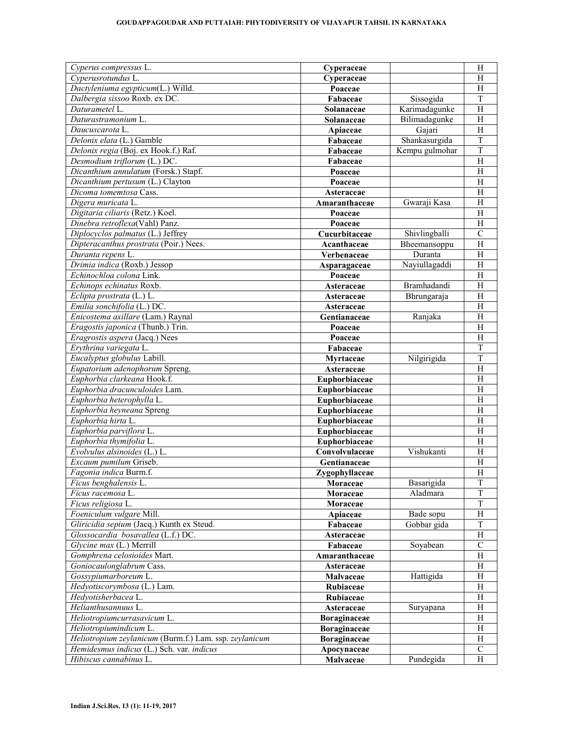| Cyperus compressus L.                                  | Cyperaceae                     |                | H                         |
|--------------------------------------------------------|--------------------------------|----------------|---------------------------|
| Cyperusrotundus L.                                     | Cyperaceae                     |                | H                         |
| Dactyleniuma egypticum(L.) Willd.                      | Poaceae                        |                | H                         |
| Dalbergia sissoo Roxb. ex DC.                          | Fabaceae                       | Sissogida      | $\overline{T}$            |
| Daturametel L.                                         | Solanaceae                     | Karimadagunke  | $\overline{H}$            |
| Daturastramonium L.                                    | Solanaceae                     | Bilimadagunke  | H                         |
| Daucuscarota L.                                        | Apiaceae                       | Gajari         | H                         |
| Delonix elata (L.) Gamble                              | Fabaceae                       | Shankasurgida  | $\overline{T}$            |
| Delonix regia (Boj. ex Hook.f.) Raf.                   | Fabaceae                       | Kempu gulmohar | T                         |
| Desmodium triflorum (L.) DC.                           | Fabaceae                       |                | H                         |
| Dicanthium annulatum (Forsk.) Stapf.                   | Poaceae                        |                | $\boldsymbol{\mathrm{H}}$ |
| Dicanthium pertusum (L.) Clayton                       | Poaceae                        |                | H                         |
| Dicoma tomemtosa Cass.                                 | Asteraceae                     |                | H                         |
| Digera muricata L.                                     | Amaranthaceae                  | Gwaraji Kasa   | H                         |
| Digitaria ciliaris (Retz.) Koel.                       | Poaceae                        |                | H                         |
| Dinebra retroflexa(Vahl) Panz.                         | Poaceae                        |                | H                         |
| Diplocyclos palmatus (L.) Jeffrey                      | Cucurbitaceae                  | Shivlingballi  | $\mathcal{C}$             |
| Dipteracanthus prostrata (Poir.) Nees.                 | Acanthaceae                    | Bheemansoppu   | $\boldsymbol{\mathrm{H}}$ |
| Duranta repens L.                                      | Verbenaceae                    | Duranta        | $\boldsymbol{\mathrm{H}}$ |
| Drimia indica (Roxb.) Jessop                           | Asparagaceae                   | Nayiullagaddi  | $\, {\rm H}$              |
| Echinochloa colona Link.                               | Poaceae                        |                | $\overline{H}$            |
| Echinops echinatus Roxb.                               | Asteraceae                     | Bramhadandi    | $\overline{H}$            |
| Eclipta prostrata (L.) L.                              | Asteraceae                     | Bhrungaraja    | $\overline{H}$            |
| Emilia sonchifolia (L.) DC.                            | Asteraceae                     |                | H                         |
| Enicostema axillare (Lam.) Raynal                      | Gentianaceae                   | Ranjaka        | H                         |
| Eragostis japonica (Thunb.) Trin.                      | Poaceae                        |                | H                         |
| Eragrostis aspera (Jacq.) Nees                         | Poaceae                        |                | $\overline{H}$            |
| Erythrina variegata L.                                 | Fabaceae                       |                | $\overline{T}$            |
| Eucalyptus globulus Labill.                            | Myrtaceae                      | Nilgirigida    | $\overline{T}$            |
| Eupatorium adenophorum Spreng.                         | Asteraceae                     |                | $\overline{H}$            |
| Euphorbia clarkeana Hook.f.                            | Euphorbiaceae                  |                | H                         |
| Euphorbia dracunculoides Lam.                          | Euphorbiaceae                  |                | H                         |
| Euphorbia heterophylla L.                              | Euphorbiaceae                  |                | H                         |
| Euphorbia heyneana Spreng                              | Euphorbiaceae                  |                | $\boldsymbol{\mathrm{H}}$ |
| Euphorbia hirta L.                                     | Euphorbiaceae                  |                | H                         |
| Euphorbia parviflora L.                                |                                |                | H                         |
| Euphorbia thymifolia L.                                | Euphorbiaceae<br>Euphorbiaceae |                | H                         |
| Evolvulus alsinoides (L.) L.                           | Convolvulaceae                 | Vishukanti     | H                         |
| Excaum pumilum Griseb.                                 | Gentianaceae                   |                | H                         |
| Fagonia indica Burm.f.                                 |                                |                | $\overline{H}$            |
| Ficus benghalensis L.                                  | Zygophyllaceae                 | Basarigida     | $\overline{T}$            |
| Ficus racemosa L.                                      | Moraceae                       | Aladmara       | T                         |
| Ficus religiosa L.                                     | Moraceae                       |                |                           |
| Foeniculum vulgare Mill.                               | Moraceae                       |                | T<br>$\overline{H}$       |
|                                                        | Apiaceae                       | Bade sopu      |                           |
| Gliricidia sepium (Jacq.) Kunth ex Steud.              | Fabaceae                       | Gobbar gida    | $\mathbf T$               |
| Glossocardia bosavallea (L.f.) DC.                     | Asteraceae                     |                | H                         |
| Glycine max (L.) Merrill                               | Fabaceae                       | Soyabean       | $\overline{C}$            |
| Gomphrena celosioides Mart.                            | Amaranthaceae                  |                | $\, {\rm H}$              |
| Goniocaulonglabrum Cass.                               | Asteraceae                     |                | H                         |
| Gossypiumarboreum L.                                   | Malvaceae                      | Hattigida      | H                         |
| Hedyotiscorymbosa (L.) Lam.                            | Rubiaceae                      |                | H                         |
| Hedyotisherbacea L.                                    | Rubiaceae                      |                | H                         |
| Helianthusannuus L.                                    | Asteraceae                     | Suryapana      | H                         |
| Heliotropiumcurrasavicum L.                            | Boraginaceae                   |                | H                         |
| Heliotropiumindicum L.                                 | Boraginaceae                   |                | H                         |
| Heliotropium zeylanicum (Burm.f.) Lam. ssp. zeylanicum | Boraginaceae                   |                | H                         |
| Hemidesmus indicus (L.) Sch. var. indicus              | Apocynaceae                    |                | $\mathcal{C}$             |
| Hibiscus cannabinus L.                                 | Malvaceae                      | Pundegida      | H                         |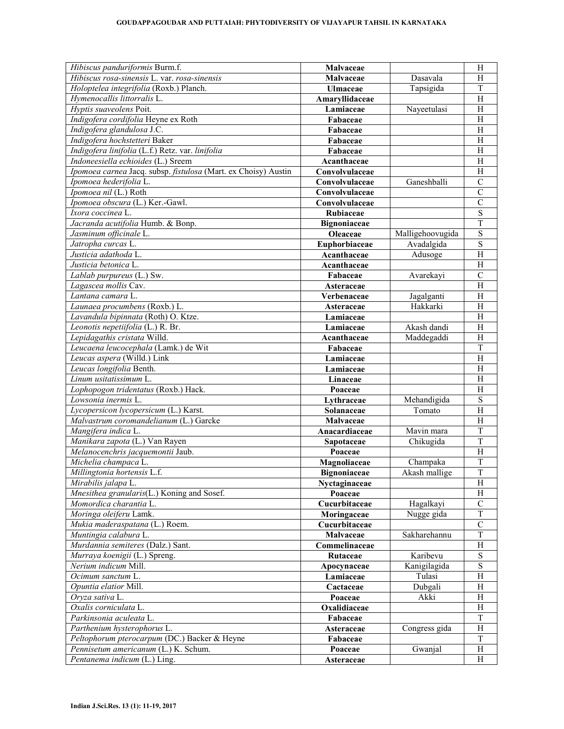#### **GOUDAPPAGOUDAR AND PUTTAIAH: PHYTODIVERSITY OF VIJAYAPUR TAHSIL IN KARNATAKA**

| Hibiscus panduriformis Burm.f.                                 | Malvaceae                    |                  | H                               |
|----------------------------------------------------------------|------------------------------|------------------|---------------------------------|
| Hibiscus rosa-sinensis L. var. rosa-sinensis                   | Malvaceae                    | Dasavala         | H                               |
| Holoptelea integrifolia (Roxb.) Planch.                        | <b>Ulmaceae</b>              | Tapsigida        | T                               |
| Hymenocallis littorralis L.                                    | Amaryllidaceae               |                  | H                               |
| Hyptis suaveolens Poit.                                        | Lamiaceae                    | Nayeetulasi      | H                               |
| Indigofera cordifolia Heyne ex Roth                            | Fabaceae                     |                  | H                               |
| Indigofera glandulosa J.C.                                     | Fabaceae                     |                  | H                               |
| Indigofera hochstetteri Baker                                  | Fabaceae                     |                  | H                               |
| Indigofera linifolia (L.f.) Retz. var. linifolia               | Fabaceae                     |                  | $\overline{H}$                  |
| Indoneesiella echioides (L.) Sreem                             | Acanthaceae                  |                  | H                               |
| Ipomoea carnea Jacq. subsp. fistulosa (Mart. ex Choisy) Austin | Convolvulaceae               |                  | H                               |
| Ipomoea hederifolia L.                                         | Convolvulaceae               | Ganeshballi      | $\mathcal{C}$                   |
| Ipomoea nil (L.) Roth                                          | Convolvulaceae               |                  | $\overline{C}$                  |
| Ipomoea obscura (L.) Ker.-Gawl.                                | Convolvulaceae               |                  | $\overline{C}$                  |
| Ixora coccinea L.                                              | Rubiaceae                    |                  | $\overline{\mathbf{S}}$         |
| Jacranda acutifolia Humb. & Bonp.                              | Bignoniaceae                 |                  | T                               |
| Jasminum officinale L.                                         | <b>Oleaceae</b>              | Malligehoovugida | $\overline{\mathbf{S}}$         |
| Jatropha curcas L.                                             | Euphorbiaceae                | Avadalgida       | $\overline{\mathbf{S}}$         |
| Justicia adathoda L.                                           | Acanthaceae                  | Adusoge          | $\overline{\rm H}$              |
| Justicia betonica L.                                           | Acanthaceae                  |                  | H                               |
| Lablab purpureus (L.) Sw.                                      | Fabaceae                     | Avarekayi        | $\mathcal{C}$                   |
| Lagascea mollis Cav.                                           | Asteraceae                   |                  | $\overline{H}$                  |
| Lantana camara L.                                              | Verbenaceae                  | Jagalganti       | $\boldsymbol{\mathrm{H}}$       |
| Launaea procumbens (Roxb.) L.                                  | Asteraceae                   | Hakkarki         | H                               |
| Lavandula bipinnata (Roth) O. Ktze.                            | Lamiaceae                    |                  | H                               |
| Leonotis nepetiifolia (L.) R. Br.                              | Lamiaceae                    | Akash dandi      | H                               |
| Lepidagathis cristata Willd.                                   | Acanthaceae                  | Maddegaddi       | H                               |
| Leucaena leucocephala (Lamk.) de Wit                           | Fabaceae                     |                  | T                               |
| Leucas aspera (Willd.) Link                                    | Lamiaceae                    |                  | Η                               |
| Leucas longifolia Benth.                                       | Lamiaceae                    |                  | H                               |
| Linum usitatissimum L.                                         | Linaceae                     |                  | H                               |
| Lophopogon tridentatus (Roxb.) Hack.                           | Poaceae                      |                  | $\overline{H}$                  |
| Lowsonia inermis L.                                            | Lythraceae                   | Mehandigida      | $\overline{\mathbf{S}}$         |
| Lycopersicon lycopersicum (L.) Karst.                          | Solanaceae                   | Tomato           | $\overline{H}$                  |
| Malvastrum coromandelianum (L.) Garcke                         |                              |                  | H                               |
| Mangifera indica L.                                            | Malvaceae<br>Anacardiaceae   | Mavin mara       | T                               |
| Manikara zapota (L.) Van Rayen                                 |                              | Chikugida        | $\overline{T}$                  |
| Melanocenchris jacquemontii Jaub.                              | Sapotaceae<br>Poaceae        |                  | H                               |
| Michelia champaca L.                                           |                              | Champaka         | $\overline{T}$                  |
| Millingtonia hortensis L.f.                                    | Magnoliaceae<br>Bignoniaceae | Akash mallige    | T                               |
| Mirabilis jalapa L.                                            |                              |                  | $\mathbf H$                     |
| Mnesithea granularis(L.) Koning and Sosef.                     | Nyctaginaceae                |                  | H                               |
| Momordica charantia L.                                         | Poaceae                      |                  |                                 |
|                                                                | Cucurbitaceae                | Hagalkayi        | $\mathcal{C}$<br>$\overline{T}$ |
| Moringa oleiferu Lamk.                                         | Moringaceae                  | Nugge gida       |                                 |
| Mukia maderaspatana (L.) Roem.                                 | Cucurbitaceae                |                  | $\mathbf C$                     |
| Muntingia calabura L.                                          | Malvaceae                    | Sakharehannu     | $\mathbf T$                     |
| Murdannia semiteres (Dalz.) Sant.                              | Commelinaceae                |                  | $\rm H$                         |
| Murraya koenigii (L.) Spreng.                                  | Rutaceae                     | Karibevu         | $\overline{\mathbf{S}}$         |
| Nerium indicum Mill.                                           | Apocynaceae                  | Kanigilagida     | $\overline{S}$                  |
| Ocimum sanctum L.                                              | Lamiaceae                    | Tulasi           | $\boldsymbol{\mathrm{H}}$       |
| Opuntia elatior Mill.                                          | Cactaceae                    | Dubgali          | $\mathbf H$                     |
| Oryza sativa L.                                                | Poaceae                      | Akki             | H                               |
| Oxalis corniculata L.                                          | Oxalidiaceae                 |                  | H                               |
| Parkinsonia aculeata L.                                        | Fabaceae                     |                  | T                               |
| Parthenium hysterophorus L.                                    | Asteraceae                   | Congress gida    | H                               |
| Peltophorum pterocarpum (DC.) Backer & Heyne                   | Fabaceae                     |                  | $\mathbf T$                     |
| Pennisetum americanum (L.) K. Schum.                           | Poaceae                      | Gwanjal          | $\boldsymbol{\mathrm{H}}$       |
| Pentanema indicum (L.) Ling.                                   | Asteraceae                   |                  | H                               |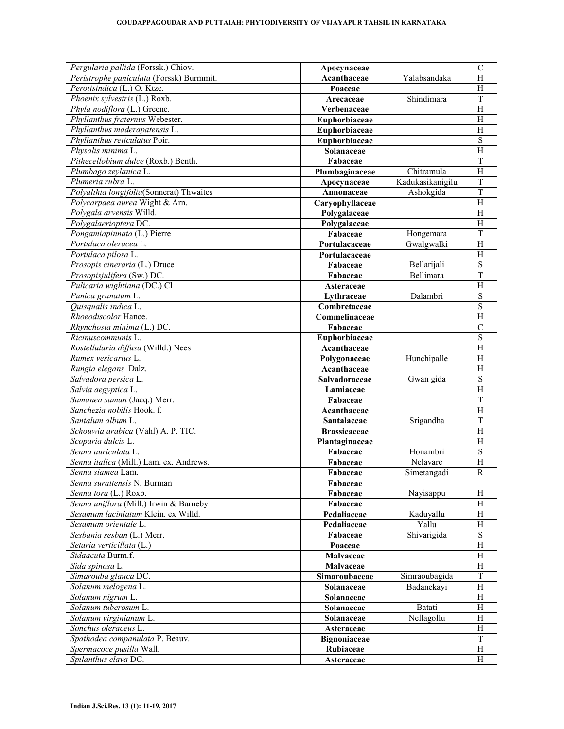| Pergularia pallida (Forssk.) Chiov.      | Apocynaceae         |                  | $\mathcal{C}$             |
|------------------------------------------|---------------------|------------------|---------------------------|
| Peristrophe paniculata (Forssk) Burmmit. | Acanthaceae         | Yalabsandaka     | H                         |
| Perotisindica (L.) O. Ktze.              | Poaceae             |                  | H                         |
| Phoenix sylvestris (L.) Roxb.            | Arecaceae           | Shindimara       | $\overline{T}$            |
| Phyla nodiflora (L.) Greene.             | Verbenaceae         |                  | $\overline{H}$            |
| Phyllanthus fraternus Webester.          | Euphorbiaceae       |                  | H                         |
| Phyllanthus maderapatensis L.            | Euphorbiaceae       |                  | $\overline{H}$            |
| Phyllanthus reticulatus Poir.            | Euphorbiaceae       |                  | $\overline{S}$            |
| Physalis minima L.                       | Solanaceae          |                  | $\overline{H}$            |
| Pithecellobium dulce (Roxb.) Benth.      | Fabaceae            |                  | $\mathbf T$               |
| Plumbago zeylanica L.                    | Plumbaginaceae      | Chitramula       | $\overline{H}$            |
| Plumeria rubra L.                        | Apocynaceae         | Kadukasikanigilu | $\overline{T}$            |
| Polyalthia longifolia(Sonnerat) Thwaites | Annonaceae          | Ashokgida        | $\overline{T}$            |
| Polycarpaea aurea Wight & Arn.           | Caryophyllaceae     |                  | $\overline{H}$            |
| Polygala arvensis Willd.                 | Polygalaceae        |                  | $\overline{H}$            |
| Polygalaerioptera DC.                    | Polygalaceae        |                  | $\overline{H}$            |
| Pongamiapinnata (L.) Pierre              | Fabaceae            | Hongemara        | $\overline{T}$            |
| Portulaca oleracea L.                    | Portulacaceae       | Gwalgwalki       | H                         |
| Portulaca pilosa L.                      | Portulacaceae       |                  |                           |
|                                          |                     |                  | H                         |
| Prosopis cineraria (L.) Druce            | Fabaceae            | Bellarijali      | S                         |
| Prosopisjulifera (Sw.) DC.               | Fabaceae            | Bellimara        | $\overline{T}$            |
| Pulicaria wightiana (DC.) Cl             | Asteraceae          |                  | $\overline{H}$            |
| Punica granatum L.                       | Lythraceae          | Dalambri         | ${\bf S}$                 |
| Quisqualis indica L.                     | Combretaceae        |                  | S                         |
| Rhoeodiscolor Hance.                     | Commelinaceae       |                  | H                         |
| Rhynchosia minima (L.) DC.               | Fabaceae            |                  | $\mathcal{C}$             |
| Ricinuscommunis L.                       | Euphorbiaceae       |                  | ${\bf S}$                 |
| Rostellularia diffusa (Willd.) Nees      | Acanthaceae         |                  | $\overline{H}$            |
| Rumex vesicarius L.                      | Polygonaceae        | Hunchipalle      | H                         |
| Rungia elegans Dalz.                     | Acanthaceae         |                  | H                         |
| Salvadora persica L.                     | Salvadoraceae       | Gwan gida        | $\overline{S}$            |
| Salvia aegyptica L.                      | Lamiaceae           |                  | $\overline{H}$            |
| Samanea saman (Jacq.) Merr.              | Fabaceae            |                  | $\overline{T}$            |
| Sanchezia nobilis Hook. f.               | Acanthaceae         |                  | H                         |
| Santalum album L.                        | Santalaceae         | Srigandha        | T                         |
| Schouwia arabica (Vahl) A. P. TIC.       | <b>Brassicaceae</b> |                  | $\overline{H}$            |
| Scoparia dulcis L.                       | Plantaginaceae      |                  | H                         |
| Senna auriculata L.                      | Fabaceae            | Honambri         | $\overline{S}$            |
| Senna italica (Mill.) Lam. ex. Andrews.  | Fabaceae            | Nelavare         | $\overline{H}$            |
| Senna siamea Lam.                        | Fabaceae            | Simetangadi      | $\overline{R}$            |
| Senna surattensis N. Burman              | Fabaceae            |                  |                           |
| Senna tora (L.) Roxb.                    | Fabaceae            | Nayisappu        | H                         |
| Senna uniflora (Mill.) Irwin & Barneby   | Fabaceae            |                  | Н                         |
| Sesamum laciniatum Klein. ex Willd.      | Pedaliaceae         | Kaduyallu        | Η                         |
| Sesamum orientale L.                     | Pedaliaceae         | Yallu            | $H_{\rm}$                 |
| Sesbania sesban (L.) Merr.               | Fabaceae            | Shivarigida      | ${\bf S}$                 |
| Setaria verticillata (L.)                | Poaceae             |                  | $\boldsymbol{\mathrm{H}}$ |
| Sidaacuta Burm.f.                        | Malvaceae           |                  | H                         |
| Sida spinosa L.                          | Malvaceae           |                  | H                         |
| Simarouba glauca DC.                     | Simaroubaceae       | Simraoubagida    | T                         |
| Solanum melogena L.                      |                     | Badanekayi       | H                         |
|                                          | Solanaceae          |                  |                           |
| Solanum nigrum L.                        | Solanaceae          |                  | Η                         |
| Solanum tuberosum L.                     | Solanaceae          | Batati           | $H_{\rm}$                 |
| Solanum virginianum L.                   | Solanaceae          | Nellagollu       | H                         |
| Sonchus oleraceus L.                     | Asteraceae          |                  | H                         |
| Spathodea companulata P. Beauv.          | Bignoniaceae        |                  | $\mathbf T$               |
| Spermacoce pusilla Wall.                 | Rubiaceae           |                  | $\boldsymbol{\mathrm{H}}$ |
| Spilanthus clava DC.                     | Asteraceae          |                  | H                         |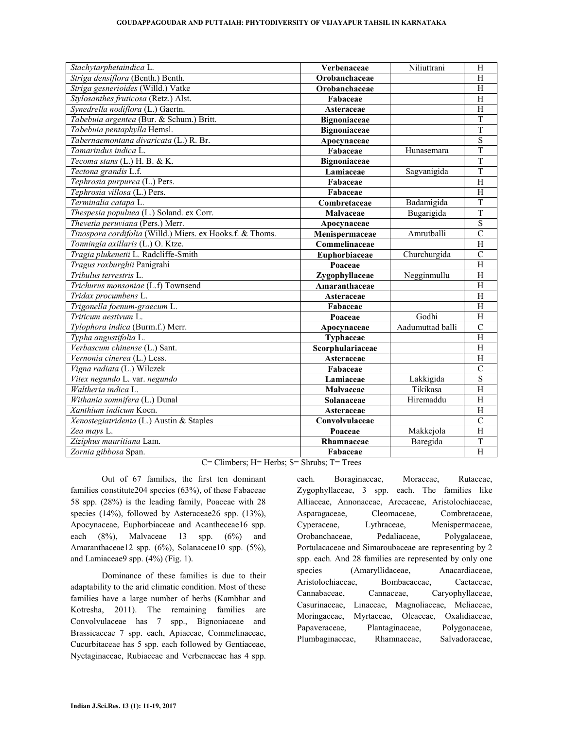#### **GOUDAPPAGOUDAR AND PUTTAIAH: PHYTODIVERSITY OF VIJAYAPUR TAHSIL IN KARNATAKA**

| Stachytarphetaindica L.                                   | Verbenaceae         | Niliuttrani      | H                       |
|-----------------------------------------------------------|---------------------|------------------|-------------------------|
| Striga densiflora (Benth.) Benth.                         | Orobanchaceae       |                  | H                       |
| Striga gesnerioides (Willd.) Vatke                        | Orobanchaceae       |                  | H                       |
| Stylosanthes fruticosa (Retz.) Alst.                      | Fabaceae            |                  | H                       |
| Synedrella nodiflora (L.) Gaertn.                         | Asteraceae          |                  | $\overline{H}$          |
| Tabebuia argentea (Bur. & Schum.) Britt.                  | <b>Bignoniaceae</b> |                  | $\overline{T}$          |
| Tabebuia pentaphylla Hemsl.                               | <b>Bignoniaceae</b> |                  | $\overline{T}$          |
| Tabernaemontana divaricata (L.) R. Br.                    | Apocynaceae         |                  | $\overline{\mathbf{S}}$ |
| Tamarindus indica L.                                      | Fabaceae            | Hunasemara       | $\overline{T}$          |
| Tecoma stans (L.) H. B. & K.                              | <b>Bignoniaceae</b> |                  | $\overline{T}$          |
| Tectona grandis L.f.                                      | Lamiaceae           | Sagvanigida      | $\overline{T}$          |
| Tephrosia purpurea (L.) Pers.                             | Fabaceae            |                  | $\overline{H}$          |
| Tephrosia villosa (L.) Pers.                              | Fabaceae            |                  | $\overline{H}$          |
| Terminalia catapa L.                                      | Combretaceae        | Badamigida       | T                       |
| Thespesia populnea (L.) Soland. ex Corr.                  | Malvaceae           | Bugarigida       | T                       |
| Thevetia peruviana (Pers.) Merr.                          | Apocynaceae         |                  | $\overline{S}$          |
| Tinospora cordifolia (Willd.) Miers. ex Hooks.f. & Thoms. | Menispermaceae      | Amrutballi       | $\overline{C}$          |
| Tonningia axillaris (L.) O. Ktze.                         | Commelinaceae       |                  | $\overline{H}$          |
| Tragia plukenetii L. Radcliffe-Smith                      | Euphorbiaceae       | Churchurgida     | $\mathcal{C}$           |
| Tragus roxburghii Panigrahi                               | Poaceae             |                  | $\overline{H}$          |
| Tribulus terrestris L.                                    | Zygophyllaceae      | Negginmullu      | $\overline{H}$          |
| Trichurus monsoniae (L.f) Townsend                        | Amaranthaceae       |                  | H                       |
| Tridax procumbens L.                                      | Asteraceae          |                  | $\overline{H}$          |
| Trigonella foenum-graecum L.                              | Fabaceae            |                  | $\overline{H}$          |
| Triticum aestivum L.                                      | Poaceae             | Godhi            | $\overline{H}$          |
| Tylophora indica (Burm.f.) Merr.                          | Apocynaceae         | Aadumuttad balli | $\overline{C}$          |
| Typha angustifolia L.                                     | Typhaceae           |                  | $\overline{H}$          |
| Verbascum chinense (L.) Sant.                             | Scorphulariaceae    |                  | $\overline{H}$          |
| Vernonia cinerea (L.) Less.                               | Asteraceae          |                  | $\overline{H}$          |
| Vigna radiata (L.) Wilczek                                | Fabaceae            |                  | $\overline{C}$          |
| Vitex negundo L. var. negundo                             | Lamiaceae           | Lakkigida        | $\overline{S}$          |
| Waltheria indica L.                                       | Malvaceae           | Tikikasa         | $\overline{H}$          |
| Withania somnifera (L.) Dunal                             | Solanaceae          | Hiremaddu        | $\overline{H}$          |
| Xanthium indicum Koen.                                    | Asteraceae          |                  | $\overline{H}$          |
| Xenostegiatridenta (L.) Austin & Staples                  | Convolvulaceae      |                  | $\overline{C}$          |
| Zea mays L.                                               | Poaceae             | Makkejola        | $\overline{H}$          |
| Ziziphus mauritiana Lam.                                  | Rhamnaceae          | Baregida         | $\overline{T}$          |
| Zornia gibbosa Span.                                      | Fabaceae            |                  | $\overline{H}$          |
| $2011 - 1$                                                |                     |                  |                         |

C= Climbers; H= Herbs; S= Shrubs; T= Trees

 Out of 67 families, the first ten dominant families constitute204 species (63%), of these Fabaceae 58 spp. (28%) is the leading family, Poaceae with 28 species (14%), followed by Asteraceae26 spp. (13%), Apocynaceae, Euphorbiaceae and Acantheceae16 spp. each (8%), Malvaceae 13 spp. (6%) and Amaranthaceae12 spp. (6%), Solanaceae10 spp. (5%), and Lamiaceae9 spp. (4%) (Fig. 1).

Dominance of these families is due to their adaptability to the arid climatic condition. Most of these families have a large number of herbs (Kambhar and Kotresha, 2011). The remaining families are Convolvulaceae has 7 spp., Bignoniaceae and Brassicaceae 7 spp. each, Apiaceae, Commelinaceae, Cucurbitaceae has 5 spp. each followed by Gentiaceae, Nyctaginaceae, Rubiaceae and Verbenaceae has 4 spp.

each. Boraginaceae, Moraceae, Rutaceae, Zygophyllaceae, 3 spp. each. The families like Alliaceae, Annonaceae, Arecaceae, Aristolochiaceae, Asparagaceae, Cleomaceae, Combretaceae, Cyperaceae, Lythraceae, Menispermaceae, Orobanchaceae, Pedaliaceae, Polygalaceae, Portulacaceae and Simaroubaceae are representing by 2 spp. each. And 28 families are represented by only one species (Amaryllidaceae, Anacardiaceae, Aristolochiaceae, Bombacaceae, Cactaceae, Cannabaceae, Cannaceae, Caryophyllaceae, Casurinaceae, Linaceae, Magnoliaceae, Meliaceae, Moringaceae, Myrtaceae, Oleaceae, Oxalidiaceae, Papaveraceae, Plantaginaceae, Polygonaceae, Plumbaginaceae, Rhamnaceae, Salvadoraceae,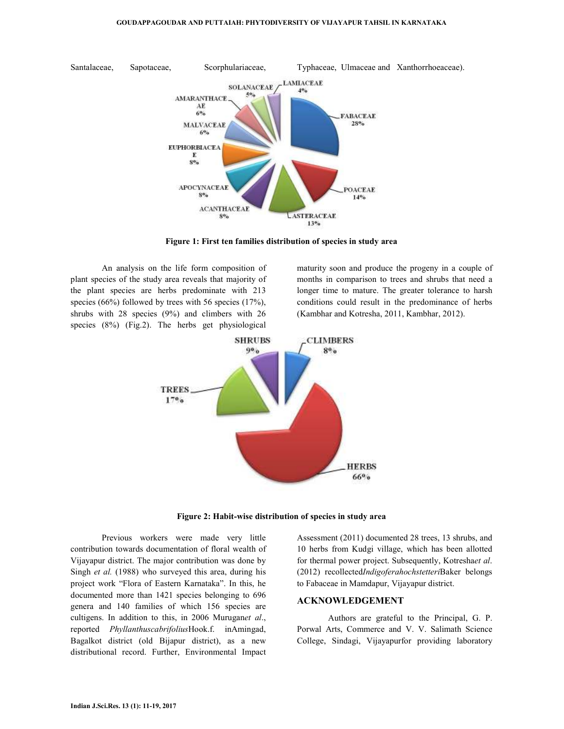

**Figure 1: First ten families distribution of species in study area** 

 An analysis on the life form composition of plant species of the study area reveals that majority of the plant species are herbs predominate with 213 species (66%) followed by trees with 56 species (17%), shrubs with 28 species (9%) and climbers with 26 species (8%) (Fig.2). The herbs get physiological

maturity soon and produce the progeny in a couple of months in comparison to trees and shrubs that need a longer time to mature. The greater tolerance to harsh conditions could result in the predominance of herbs (Kambhar and Kotresha, 2011, Kambhar, 2012).



**Figure 2: Habit-wise distribution of species in study area** 

Previous workers were made very little contribution towards documentation of floral wealth of Vijayapur district. The major contribution was done by Singh *et al.* (1988) who surveyed this area, during his project work "Flora of Eastern Karnataka". In this, he documented more than 1421 species belonging to 696 genera and 140 families of which 156 species are cultigens. In addition to this, in 2006 Murugan*et al*., reported *Phyllanthuscabrifolius*Hook.f. inAmingad, Bagalkot district (old Bijapur district), as a new distributional record. Further, Environmental Impact

Assessment (2011) documented 28 trees, 13 shrubs, and 10 herbs from Kudgi village, which has been allotted for thermal power project. Subsequently, Kotresha*et al*. (2012) recollected*Indigoferahochstetteri*Baker belongs to Fabaceae in Mamdapur, Vijayapur district.

#### **ACKNOWLEDGEMENT**

Authors are grateful to the Principal, G. P. Porwal Arts, Commerce and V. V. Salimath Science College, Sindagi, Vijayapurfor providing laboratory